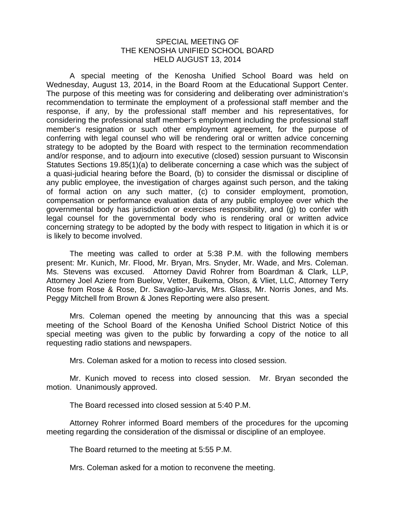## SPECIAL MEETING OF THE KENOSHA UNIFIED SCHOOL BOARD HELD AUGUST 13, 2014

A special meeting of the Kenosha Unified School Board was held on Wednesday, August 13, 2014, in the Board Room at the Educational Support Center. The purpose of this meeting was for considering and deliberating over administration's recommendation to terminate the employment of a professional staff member and the response, if any, by the professional staff member and his representatives, for considering the professional staff member's employment including the professional staff member's resignation or such other employment agreement, for the purpose of conferring with legal counsel who will be rendering oral or written advice concerning strategy to be adopted by the Board with respect to the termination recommendation and/or response, and to adjourn into executive (closed) session pursuant to Wisconsin Statutes Sections 19.85(1)(a) to deliberate concerning a case which was the subject of a quasi-judicial hearing before the Board, (b) to consider the dismissal or discipline of any public employee, the investigation of charges against such person, and the taking of formal action on any such matter, (c) to consider employment, promotion, compensation or performance evaluation data of any public employee over which the governmental body has jurisdiction or exercises responsibility, and (g) to confer with legal counsel for the governmental body who is rendering oral or written advice concerning strategy to be adopted by the body with respect to litigation in which it is or is likely to become involved.

The meeting was called to order at 5:38 P.M. with the following members present: Mr. Kunich, Mr. Flood, Mr. Bryan, Mrs. Snyder, Mr. Wade, and Mrs. Coleman. Ms. Stevens was excused. Attorney David Rohrer from Boardman & Clark, LLP, Attorney Joel Aziere from Buelow, Vetter, Buikema, Olson, & Vliet, LLC, Attorney Terry Rose from Rose & Rose, Dr. Savaglio-Jarvis, Mrs. Glass, Mr. Norris Jones, and Ms. Peggy Mitchell from Brown & Jones Reporting were also present.

 Mrs. Coleman opened the meeting by announcing that this was a special meeting of the School Board of the Kenosha Unified School District Notice of this special meeting was given to the public by forwarding a copy of the notice to all requesting radio stations and newspapers.

Mrs. Coleman asked for a motion to recess into closed session.

Mr. Kunich moved to recess into closed session. Mr. Bryan seconded the motion. Unanimously approved.

The Board recessed into closed session at 5:40 P.M.

Attorney Rohrer informed Board members of the procedures for the upcoming meeting regarding the consideration of the dismissal or discipline of an employee.

The Board returned to the meeting at 5:55 P.M.

Mrs. Coleman asked for a motion to reconvene the meeting.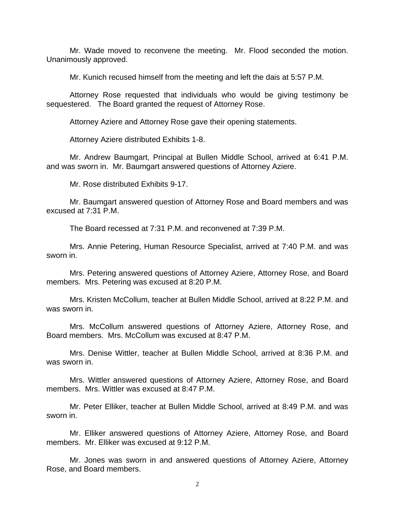Mr. Wade moved to reconvene the meeting. Mr. Flood seconded the motion. Unanimously approved.

Mr. Kunich recused himself from the meeting and left the dais at 5:57 P.M.

Attorney Rose requested that individuals who would be giving testimony be sequestered. The Board granted the request of Attorney Rose.

Attorney Aziere and Attorney Rose gave their opening statements.

Attorney Aziere distributed Exhibits 1-8.

 Mr. Andrew Baumgart, Principal at Bullen Middle School, arrived at 6:41 P.M. and was sworn in. Mr. Baumgart answered questions of Attorney Aziere.

Mr. Rose distributed Exhibits 9-17.

 Mr. Baumgart answered question of Attorney Rose and Board members and was excused at 7:31 P.M.

The Board recessed at 7:31 P.M. and reconvened at 7:39 P.M.

 Mrs. Annie Petering, Human Resource Specialist, arrived at 7:40 P.M. and was sworn in.

 Mrs. Petering answered questions of Attorney Aziere, Attorney Rose, and Board members. Mrs. Petering was excused at 8:20 P.M.

Mrs. Kristen McCollum, teacher at Bullen Middle School, arrived at 8:22 P.M. and was sworn in.

 Mrs. McCollum answered questions of Attorney Aziere, Attorney Rose, and Board members. Mrs. McCollum was excused at 8:47 P.M.

Mrs. Denise Wittler, teacher at Bullen Middle School, arrived at 8:36 P.M. and was sworn in.

 Mrs. Wittler answered questions of Attorney Aziere, Attorney Rose, and Board members. Mrs. Wittler was excused at 8:47 P.M.

Mr. Peter Elliker, teacher at Bullen Middle School, arrived at 8:49 P.M. and was sworn in.

 Mr. Elliker answered questions of Attorney Aziere, Attorney Rose, and Board members. Mr. Elliker was excused at 9:12 P.M.

 Mr. Jones was sworn in and answered questions of Attorney Aziere, Attorney Rose, and Board members.